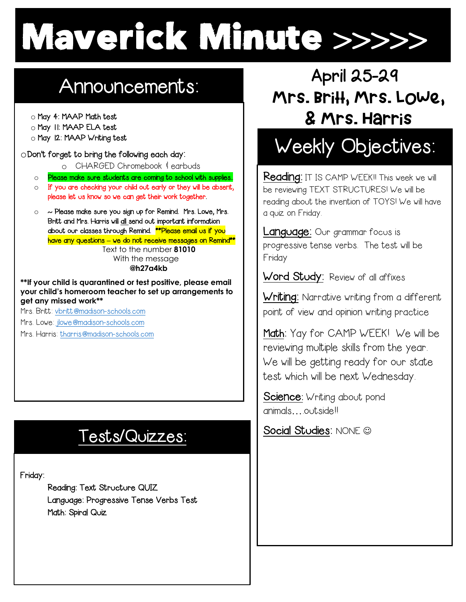# Maverick Minute >>>>>

# Announcements:

o May 4: MAAP Math test

- $\begin{array}{c|c|c|c|c} \hline \multicolumn{1}{c|}{\circ} & \multicolumn{1}{c|}{\circ} \\ \multicolumn{1}{c|}{\circ} & \multicolumn{1}{c|}{\circ} & \multicolumn{1}{c|}{\circ} \\ \multicolumn{1}{c|}{\circ} & \multicolumn{1}{c|}{\circ} & \multicolumn{1}{c|}{\circ} \\ \multicolumn{1}{c|}{\circ} & \multicolumn{1}{c|}{\circ} & \multicolumn{1}{c|}{\circ} \\ \multicolumn{1}{c|}{\circ} & \multicolumn{1}{c|}{\circ} & \multicolumn{1}{c|}{\circ} \\ \multicolumn{1$ o May 11: MAAP ELA test
- o May 12: MAAP Writing test

oDon't forget to bring the following each day:

o CHARGED Chromebook & earbuds

o Please make sure students are coming to school with supplies.

- $\circ$  If you are checking your child out early or they will be absent, please let us know so we can get their work together.
- $\circ$   $\sim$  Please make sure you sign up for Remind. Mrs. Lowe, Mrs. Britt and Mrs. Harris will all send out important information about our classes through Remind. **\*\*Please email us if you** have any questions **–** we do not receive messages on Remind\*\* Text to the number **81010**

 With the message **@h27a4kb**

 **your child's homeroom teacher to set up arrangements to \*\*If your child is quarantined or test positive, please email get any missed work\*\***

Mrs. Britt: vbritt@madison-schools.com

Mrs. Lowe: jlowe@madison-schools.com

Mrs. Harris: tharris@madison-schools.com

## Tests/Quizzes:

Friday:

İ

 Reading: Text Structure QUIZ Language: Progressive Tense Verbs Test Math: Spiral Quiz

## Mrs. Britt, Mrs. Lowe, & Mrs. Harris April 25-29

# Weekly Objectives:

Reading: IT IS CAMP WEEK!! This week we will be reviewing TEXT STRUCTURES! We will be reading about the invention of TOYS! We will have a quiz on Friday.

Language: Our grammar focus is progressive tense verbs. The test will be Friday

Word Study: Review of all affixes

Writing: Narrative writing from a different point of view and opinion writing practice

Math: Yay for CAMP WEEK! We will be reviewing multiple skills from the year. We will be getting ready for our state test which will be next Wednesday.

Science: Writing about pond animals….outside!!

Social Studies: NONE @